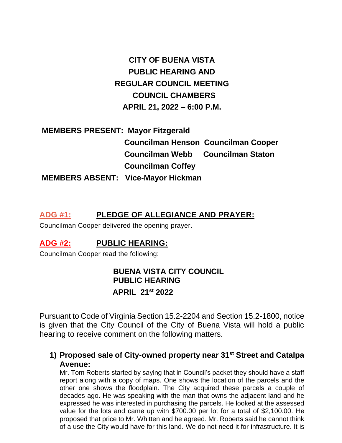# **CITY OF BUENA VISTA PUBLIC HEARING AND REGULAR COUNCIL MEETING COUNCIL CHAMBERS APRIL 21, 2022 – 6:00 P.M.**

# **MEMBERS PRESENT: Mayor Fitzgerald Councilman Henson Councilman Cooper Councilman Webb Councilman Staton Councilman Coffey MEMBERS ABSENT: Vice-Mayor Hickman**

## **ADG #1: PLEDGE OF ALLEGIANCE AND PRAYER:**

Councilman Cooper delivered the opening prayer.

## **ADG #2: PUBLIC HEARING:**

Councilman Cooper read the following:

# **BUENA VISTA CITY COUNCIL PUBLIC HEARING APRIL 21st 2022**

Pursuant to Code of Virginia Section 15.2-2204 and Section 15.2-1800, notice is given that the City Council of the City of Buena Vista will hold a public hearing to receive comment on the following matters.

## **1) Proposed sale of City-owned property near 31st Street and Catalpa Avenue:**

Mr. Tom Roberts started by saying that in Council's packet they should have a staff report along with a copy of maps. One shows the location of the parcels and the other one shows the floodplain. The City acquired these parcels a couple of decades ago. He was speaking with the man that owns the adjacent land and he expressed he was interested in purchasing the parcels. He looked at the assessed value for the lots and came up with \$700.00 per lot for a total of \$2,100.00. He proposed that price to Mr. Whitten and he agreed. Mr. Roberts said he cannot think of a use the City would have for this land. We do not need it for infrastructure. It is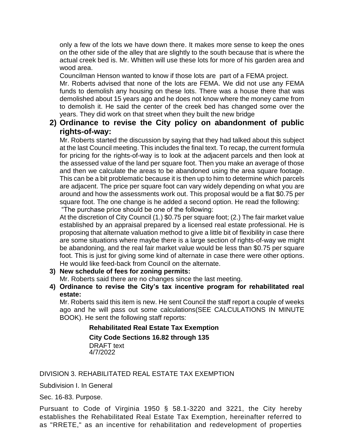only a few of the lots we have down there. It makes more sense to keep the ones on the other side of the alley that are slightly to the south because that is where the actual creek bed is. Mr. Whitten will use these lots for more of his garden area and wood area.

Councilman Henson wanted to know if those lots are part of a FEMA project.

Mr. Roberts advised that none of the lots are FEMA. We did not use any FEMA funds to demolish any housing on these lots. There was a house there that was demolished about 15 years ago and he does not know where the money came from to demolish it. He said the center of the creek bed has changed some over the years. They did work on that street when they built the new bridge

### **2) Ordinance to revise the City policy on abandonment of public rights-of-way:**

Mr. Roberts started the discussion by saying that they had talked about this subject at the last Council meeting. This includes the final text. To recap, the current formula for pricing for the rights-of-way is to look at the adjacent parcels and then look at the assessed value of the land per square foot. Then you make an average of those and then we calculate the areas to be abandoned using the area square footage. This can be a bit problematic because it is then up to him to determine which parcels are adjacent. The price per square foot can vary widely depending on what you are around and how the assessments work out. This proposal would be a flat \$0.75 per square foot. The one change is he added a second option. He read the following: "The purchase price should be one of the following:

At the discretion of City Council (1.) \$0.75 per square foot; (2.) The fair market value established by an appraisal prepared by a licensed real estate professional. He is proposing that alternate valuation method to give a little bit of flexibility in case there are some situations where maybe there is a large section of rights-of-way we might be abandoning, and the real fair market value would be less than \$0.75 per square foot. This is just for giving some kind of alternate in case there were other options. He would like feed-back from Council on the alternate.

**3) New schedule of fees for zoning permits:**

Mr. Roberts said there are no changes since the last meeting.

**4) Ordinance to revise the City's tax incentive program for rehabilitated real estate:**

Mr. Roberts said this item is new. He sent Council the staff report a couple of weeks ago and he will pass out some calculations(SEE CALCULATIONS IN MINUTE BOOK). He sent the following staff reports:

#### **Rehabilitated Real Estate Tax Exemption**

**City Code Sections 16.82 through 135**

DRAFT text 4/7/2022

#### DIVISION 3. REHABILITATED REAL ESTATE TAX EXEMPTION

Subdivision I. In General

Sec. 16-83. Purpose.

Pursuant to Code of Virginia 1950 § 58.1-3220 and 3221, the City hereby establishes the Rehabilitated Real Estate Tax Exemption, hereinafter referred to as "RRETE," as an incentive for rehabilitation and redevelopment of properties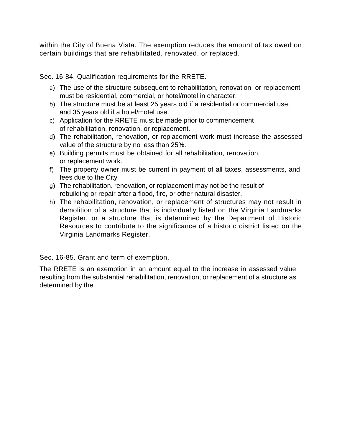within the City of Buena Vista. The exemption reduces the amount of tax owed on certain buildings that are rehabilitated, renovated, or replaced.

Sec. 16-84. Qualification requirements for the RRETE.

- a) The use of the structure subsequent to rehabilitation, renovation, or replacement must be residential, commercial, or hotel/motel in character.
- b) The structure must be at least 25 years old if a residential or commercial use, and 35 years old if a hotel/motel use.
- c) Application for the RRETE must be made prior to commencement of rehabilitation, renovation, or replacement.
- d) The rehabilitation, renovation, or replacement work must increase the assessed value of the structure by no less than 25%.
- e) Building permits must be obtained for all rehabilitation, renovation, or replacement work.
- f) The property owner must be current in payment of all taxes, assessments, and fees due to the City
- g) The rehabilitation. renovation, or replacement may not be the result of rebuilding or repair after a flood, fire, or other natural disaster.
- h) The rehabilitation, renovation, or replacement of structures may not result in demolition of a structure that is individually listed on the Virginia Landmarks Register, or a structure that is determined by the Department of Historic Resources to contribute to the significance of a historic district listed on the Virginia Landmarks Register.

Sec. 16-85. Grant and term of exemption.

The RRETE is an exemption in an amount equal to the increase in assessed value resulting from the substantial rehabilitation, renovation, or replacement of a structure as determined by the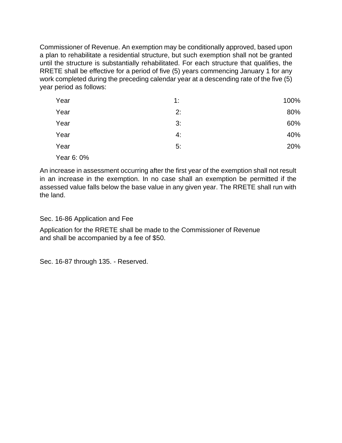Commissioner of Revenue. An exemption may be conditionally approved, based upon a plan to rehabilitate a residential structure, but such exemption shall not be granted until the structure is substantially rehabilitated. For each structure that qualifies, the RRETE shall be effective for a period of five (5) years commencing January 1 for any work completed during the preceding calendar year at a descending rate of the five (5) year period as follows:

| Year       | 1: | 100% |
|------------|----|------|
| Year       | 2: | 80%  |
| Year       | 3: | 60%  |
| Year       | 4: | 40%  |
| Year       | 5: | 20%  |
| Year 6: 0% |    |      |

An increase in assessment occurring after the first year of the exemption shall not result in an increase in the exemption. In no case shall an exemption be permitted if the assessed value falls below the base value in any given year. The RRETE shall run with the land.

Sec. 16-86 Application and Fee

Application for the RRETE shall be made to the Commissioner of Revenue and shall be accompanied by a fee of \$50.

Sec. 16-87 through 135. - Reserved.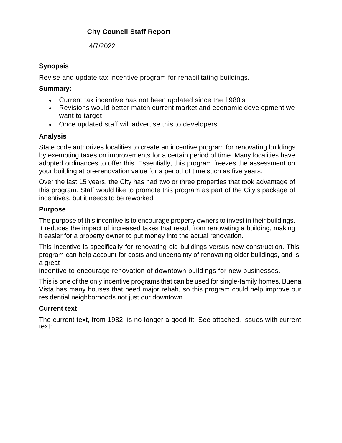### **City Council Staff Report**

4/7/2022

### **Synopsis**

Revise and update tax incentive program for rehabilitating buildings.

#### **Summary:**

- Current tax incentive has not been updated since the 1980's
- Revisions would better match current market and economic development we want to target
- Once updated staff will advertise this to developers

### **Analysis**

State code authorizes localities to create an incentive program for renovating buildings by exempting taxes on improvements for a certain period of time. Many localities have adopted ordinances to offer this. Essentially, this program freezes the assessment on your building at pre-renovation value for a period of time such as five years.

Over the last 15 years, the City has had two or three properties that took advantage of this program. Staff would like to promote this program as part of the City's package of incentives, but it needs to be reworked.

### **Purpose**

The purpose of this incentive is to encourage property owners to invest in their buildings. It reduces the impact of increased taxes that result from renovating a building, making it easier for a property owner to put money into the actual renovation.

This incentive is specifically for renovating old buildings versus new construction. This program can help account for costs and uncertainty of renovating older buildings, and is a great

incentive to encourage renovation of downtown buildings for new businesses.

This is one of the only incentive programs that can be used for single-family homes. Buena Vista has many houses that need major rehab, so this program could help improve our residential neighborhoods not just our downtown.

### **Current text**

The current text, from 1982, is no longer a good fit. See attached. Issues with current text: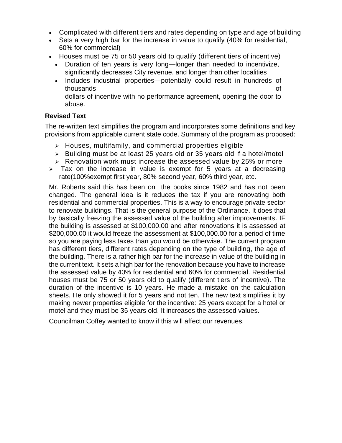- Complicated with different tiers and rates depending on type and age of building
- Sets a very high bar for the increase in value to qualify (40% for residential, 60% for commercial)
- Houses must be 75 or 50 years old to qualify (different tiers of incentive)
	- Duration of ten years is very long—longer than needed to incentivize, significantly decreases City revenue, and longer than other localities
	- Includes industrial properties—potentially could result in hundreds of thousands of dollars of incentive with no performance agreement, opening the door to abuse.

#### **Revised Text**

The re-written text simplifies the program and incorporates some definitions and key provisions from applicable current state code. Summary of the program as proposed:

- ➢ Houses, multifamily, and commercial properties eligible
- ➢ Building must be at least 25 years old or 35 years old if a hotel/motel
- $\triangleright$  Renovation work must increase the assessed value by 25% or more
- $\geq$  Tax on the increase in value is exempt for 5 years at a decreasing rate(100%exempt first year, 80% second year, 60% third year, etc.

Mr. Roberts said this has been on the books since 1982 and has not been changed. The general idea is it reduces the tax if you are renovating both residential and commercial properties. This is a way to encourage private sector to renovate buildings. That is the general purpose of the Ordinance. It does that by basically freezing the assessed value of the building after improvements. IF the building is assessed at \$100,000.00 and after renovations it is assessed at \$200,000.00 it would freeze the assessment at \$100,000.00 for a period of time so you are paying less taxes than you would be otherwise. The current program has different tiers, different rates depending on the type of building, the age of the building. There is a rather high bar for the increase in value of the building in the current text. It sets a high bar for the renovation because you have to increase the assessed value by 40% for residential and 60% for commercial. Residential houses must be 75 or 50 years old to qualify (different tiers of incentive). The duration of the incentive is 10 years. He made a mistake on the calculation sheets. He only showed it for 5 years and not ten. The new text simplifies it by making newer properties eligible for the incentive: 25 years except for a hotel or motel and they must be 35 years old. It increases the assessed values.

Councilman Coffey wanted to know if this will affect our revenues.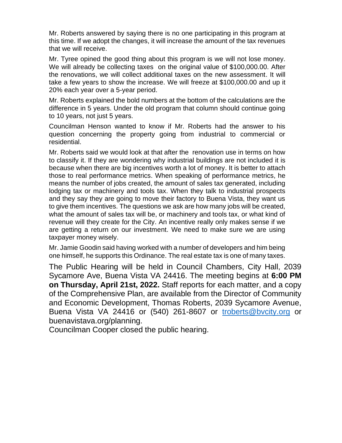Mr. Roberts answered by saying there is no one participating in this program at this time. If we adopt the changes, it will increase the amount of the tax revenues that we will receive.

Mr. Tyree opined the good thing about this program is we will not lose money. We will already be collecting taxes on the original value of \$100,000.00. After the renovations, we will collect additional taxes on the new assessment. It will take a few years to show the increase. We will freeze at \$100,000.00 and up it 20% each year over a 5-year period.

Mr. Roberts explained the bold numbers at the bottom of the calculations are the difference in 5 years. Under the old program that column should continue going to 10 years, not just 5 years.

Councilman Henson wanted to know if Mr. Roberts had the answer to his question concerning the property going from industrial to commercial or residential.

Mr. Roberts said we would look at that after the renovation use in terms on how to classify it. If they are wondering why industrial buildings are not included it is because when there are big incentives worth a lot of money. It is better to attach those to real performance metrics. When speaking of performance metrics, he means the number of jobs created, the amount of sales tax generated, including lodging tax or machinery and tools tax. When they talk to industrial prospects and they say they are going to move their factory to Buena Vista, they want us to give them incentives. The questions we ask are how many jobs will be created, what the amount of sales tax will be, or machinery and tools tax, or what kind of revenue will they create for the City. An incentive really only makes sense if we are getting a return on our investment. We need to make sure we are using taxpayer money wisely.

Mr. Jamie Goodin said having worked with a number of developers and him being one himself, he supports this Ordinance. The real estate tax is one of many taxes.

The Public Hearing will be held in Council Chambers, City Hall, 2039 Sycamore Ave, Buena Vista VA 24416. The meeting begins at **6:00 PM on Thursday, April 21st, 2022.** Staff reports for each matter, and a copy of the Comprehensive Plan, are available from the Director of Community and Economic Development, Thomas Roberts, 2039 Sycamore Avenue, Buena Vista VA 24416 or (540) 261-8607 or [troberts@bvcity.org](mailto:troberts@bvcity.org) or buenavistava.org/planning.

Councilman Cooper closed the public hearing.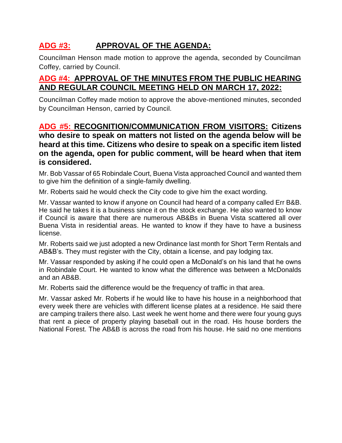# **ADG #3: APPROVAL OF THE AGENDA:**

Councilman Henson made motion to approve the agenda, seconded by Councilman Coffey, carried by Council.

## **ADG #4: APPROVAL OF THE MINUTES FROM THE PUBLIC HEARING AND REGULAR COUNCIL MEETING HELD ON MARCH 17, 2022:**

Councilman Coffey made motion to approve the above-mentioned minutes, seconded by Councilman Henson, carried by Council.

## **ADG #5: RECOGNITION/COMMUNICATION FROM VISITORS: Citizens who desire to speak on matters not listed on the agenda below will be heard at this time. Citizens who desire to speak on a specific item listed on the agenda, open for public comment, will be heard when that item is considered.**

Mr. Bob Vassar of 65 Robindale Court, Buena Vista approached Council and wanted them to give him the definition of a single-family dwelling.

Mr. Roberts said he would check the City code to give him the exact wording.

Mr. Vassar wanted to know if anyone on Council had heard of a company called Err B&B. He said he takes it is a business since it on the stock exchange. He also wanted to know if Council is aware that there are numerous AB&Bs in Buena Vista scattered all over Buena Vista in residential areas. He wanted to know if they have to have a business license.

Mr. Roberts said we just adopted a new Ordinance last month for Short Term Rentals and AB&B's. They must register with the City, obtain a license, and pay lodging tax.

Mr. Vassar responded by asking if he could open a McDonald's on his land that he owns in Robindale Court. He wanted to know what the difference was between a McDonalds and an AB&B.

Mr. Roberts said the difference would be the frequency of traffic in that area.

Mr. Vassar asked Mr. Roberts if he would like to have his house in a neighborhood that every week there are vehicles with different license plates at a residence. He said there are camping trailers there also. Last week he went home and there were four young guys that rent a piece of property playing baseball out in the road. His house borders the National Forest. The AB&B is across the road from his house. He said no one mentions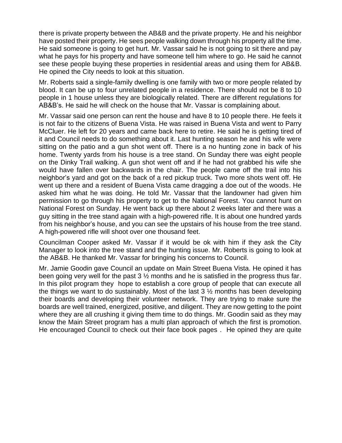there is private property between the AB&B and the private property. He and his neighbor have posted their property. He sees people walking down through his property all the time. He said someone is going to get hurt. Mr. Vassar said he is not going to sit there and pay what he pays for his property and have someone tell him where to go. He said he cannot see these people buying these properties in residential areas and using them for AB&B. He opined the City needs to look at this situation.

Mr. Roberts said a single-family dwelling is one family with two or more people related by blood. It can be up to four unrelated people in a residence. There should not be 8 to 10 people in 1 house unless they are biologically related. There are different regulations for AB&B's. He said he will check on the house that Mr. Vassar is complaining about.

Mr. Vassar said one person can rent the house and have 8 to 10 people there. He feels it is not fair to the citizens of Buena Vista. He was raised in Buena Vista and went to Parry McCluer. He left for 20 years and came back here to retire. He said he is getting tired of it and Council needs to do something about it. Last hunting season he and his wife were sitting on the patio and a gun shot went off. There is a no hunting zone in back of his home. Twenty yards from his house is a tree stand. On Sunday there was eight people on the Dinky Trail walking. A gun shot went off and if he had not grabbed his wife she would have fallen over backwards in the chair. The people came off the trail into his neighbor's yard and got on the back of a red pickup truck. Two more shots went off. He went up there and a resident of Buena Vista came dragging a doe out of the woods. He asked him what he was doing. He told Mr. Vassar that the landowner had given him permission to go through his property to get to the National Forest. You cannot hunt on National Forest on Sunday. He went back up there about 2 weeks later and there was a guy sitting in the tree stand again with a high-powered rifle. It is about one hundred yards from his neighbor's house, and you can see the upstairs of his house from the tree stand. A high-powered rifle will shoot over one thousand feet.

Councilman Cooper asked Mr. Vassar if it would be ok with him if they ask the City Manager to look into the tree stand and the hunting issue. Mr. Roberts is going to look at the AB&B. He thanked Mr. Vassar for bringing his concerns to Council.

Mr. Jamie Goodin gave Council an update on Main Street Buena Vista. He opined it has been going very well for the past  $3\frac{1}{2}$  months and he is satisfied in the progress thus far. In this pilot program they hope to establish a core group of people that can execute all the things we want to do sustainably. Most of the last  $3\frac{1}{2}$  months has been developing their boards and developing their volunteer network. They are trying to make sure the boards are well trained, energized, positive, and diligent. They are now getting to the point where they are all crushing it giving them time to do things. Mr. Goodin said as they may know the Main Street program has a multi plan approach of which the first is promotion. He encouraged Council to check out their face book pages . He opined they are quite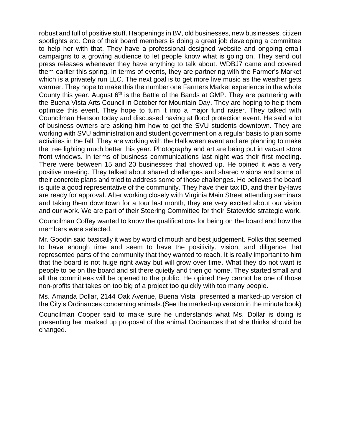robust and full of positive stuff. Happenings in BV, old businesses, new businesses, citizen spotlights etc. One of their board members is doing a great job developing a committee to help her with that. They have a professional designed website and ongoing email campaigns to a growing audience to let people know what is going on. They send out press releases whenever they have anything to talk about. WDBJ7 came and covered them earlier this spring. In terms of events, they are partnering with the Farmer's Market which is a privately run LLC. The next goal is to get more live music as the weather gets warmer. They hope to make this the number one Farmers Market experience in the whole County this year. August 6<sup>th</sup> is the Battle of the Bands at GMP. They are partnering with the Buena Vista Arts Council in October for Mountain Day. They are hoping to help them optimize this event. They hope to turn it into a major fund raiser. They talked with Councilman Henson today and discussed having at flood protection event. He said a lot of business owners are asking him how to get the SVU students downtown. They are working with SVU administration and student government on a regular basis to plan some activities in the fall. They are working with the Halloween event and are planning to make the tree lighting much better this year. Photography and art are being put in vacant store front windows. In terms of business communications last night was their first meeting. There were between 15 and 20 businesses that showed up. He opined it was a very positive meeting. They talked about shared challenges and shared visions and some of their concrete plans and tried to address some of those challenges. He believes the board is quite a good representative of the community. They have their tax ID, and their by-laws are ready for approval. After working closely with Virginia Main Street attending seminars and taking them downtown for a tour last month, they are very excited about our vision and our work. We are part of their Steering Committee for their Statewide strategic work.

Councilman Coffey wanted to know the qualifications for being on the board and how the members were selected.

Mr. Goodin said basically it was by word of mouth and best judgement. Folks that seemed to have enough time and seem to have the positivity, vision, and diligence that represented parts of the community that they wanted to reach. It is really important to him that the board is not huge right away but will grow over time. What they do not want is people to be on the board and sit there quietly and then go home. They started small and all the committees will be opened to the public. He opined they cannot be one of those non-profits that takes on too big of a project too quickly with too many people.

Ms. Amanda Dollar, 2144 Oak Avenue, Buena Vista presented a marked-up version of the City's Ordinances concerning animals.(See the marked-up version in the minute book)

Councilman Cooper said to make sure he understands what Ms. Dollar is doing is presenting her marked up proposal of the animal Ordinances that she thinks should be changed.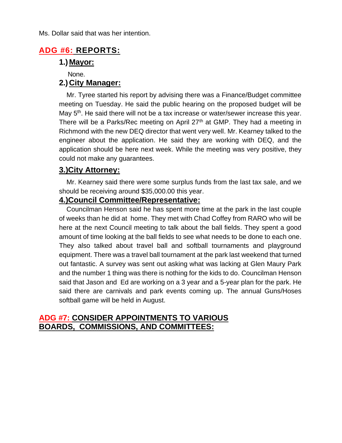Ms. Dollar said that was her intention.

## **ADG #6: REPORTS:**

## **1.) Mayor:**

None.

## **2.) City Manager:**

 Mr. Tyree started his report by advising there was a Finance/Budget committee meeting on Tuesday. He said the public hearing on the proposed budget will be May 5<sup>th</sup>. He said there will not be a tax increase or water/sewer increase this year. There will be a Parks/Rec meeting on April  $27<sup>th</sup>$  at GMP. They had a meeting in Richmond with the new DEQ director that went very well. Mr. Kearney talked to the engineer about the application. He said they are working with DEQ, and the application should be here next week. While the meeting was very positive, they could not make any guarantees.

## **3.)City Attorney:**

 Mr. Kearney said there were some surplus funds from the last tax sale, and we should be receiving around \$35,000.00 this year.

## **4.)Council Committee/Representative:**

 Councilman Henson said he has spent more time at the park in the last couple of weeks than he did at home. They met with Chad Coffey from RARO who will be here at the next Council meeting to talk about the ball fields. They spent a good amount of time looking at the ball fields to see what needs to be done to each one. They also talked about travel ball and softball tournaments and playground equipment. There was a travel ball tournament at the park last weekend that turned out fantastic. A survey was sent out asking what was lacking at Glen Maury Park and the number 1 thing was there is nothing for the kids to do. Councilman Henson said that Jason and Ed are working on a 3 year and a 5-year plan for the park. He said there are carnivals and park events coming up. The annual Guns/Hoses softball game will be held in August.

## **ADG #7: CONSIDER APPOINTMENTS TO VARIOUS BOARDS, COMMISSIONS, AND COMMITTEES:**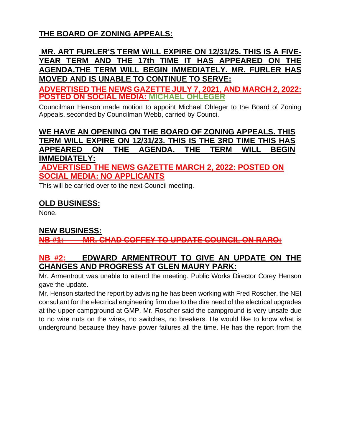## **THE BOARD OF ZONING APPEALS:**

## **MR. ART FURLER'S TERM WILL EXPIRE ON 12/31/25. THIS IS A FIVE-YEAR TERM AND THE 17th TIME IT HAS APPEARED ON THE AGENDA.THE TERM WILL BEGIN [IMMEDIATELY. MR.](http://immediately.mr/) FURLER HAS MOVED AND IS UNABLE TO CONTINUE TO SERVE:**

**ADVERTISED THE NEWS GAZETTE JULY 7, 2021, AND MARCH 2, 2022: POSTED ON SOCIAL MEDIA: MICHAEL OHLEGER**

Councilman Henson made motion to appoint Michael Ohleger to the Board of Zoning Appeals, seconded by Councilman Webb, carried by Counci.

**WE HAVE AN OPENING ON THE BOARD OF ZONING APPEALS. THIS TERM WILL EXPIRE ON 12/31/23. THIS IS THE 3RD TIME THIS HAS APPEARED ON THE AGENDA. THE TERM WILL BEGIN IMMEDIATELY:**

**ADVERTISED THE NEWS GAZETTE MARCH 2, 2022: POSTED ON SOCIAL MEDIA: NO APPLICANTS**

This will be carried over to the next Council meeting.

## **OLD BUSINESS:**

None.

### **NEW BUSINESS:**

**NB #1: MR. CHAD COFFEY TO UPDATE COUNCIL ON RARO:**

## **NB #2: EDWARD ARMENTROUT TO GIVE AN UPDATE ON THE CHANGES AND PROGRESS AT GLEN MAURY PARK:**

Mr. Armentrout was unable to attend the meeting. Public Works Director Corey Henson gave the update.

Mr. Henson started the report by advising he has been working with Fred Roscher, the NEI consultant for the electrical engineering firm due to the dire need of the electrical upgrades at the upper campground at GMP. Mr. Roscher said the campground is very unsafe due to no wire nuts on the wires, no switches, no breakers. He would like to know what is underground because they have power failures all the time. He has the report from the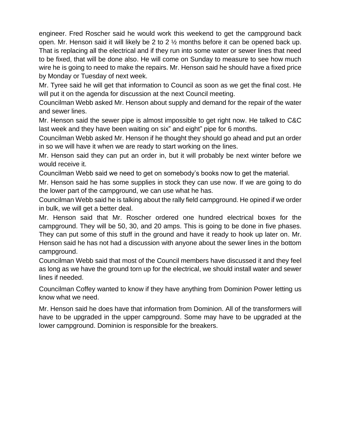engineer. Fred Roscher said he would work this weekend to get the campground back open. Mr. Henson said it will likely be 2 to 2 ½ months before it can be opened back up. That is replacing all the electrical and if they run into some water or sewer lines that need to be fixed, that will be done also. He will come on Sunday to measure to see how much wire he is going to need to make the repairs. Mr. Henson said he should have a fixed price by Monday or Tuesday of next week.

Mr. Tyree said he will get that information to Council as soon as we get the final cost. He will put it on the agenda for discussion at the next Council meeting.

Councilman Webb asked Mr. Henson about supply and demand for the repair of the water and sewer lines.

Mr. Henson said the sewer pipe is almost impossible to get right now. He talked to C&C last week and they have been waiting on six" and eight" pipe for 6 months.

Councilman Webb asked Mr. Henson if he thought they should go ahead and put an order in so we will have it when we are ready to start working on the lines.

Mr. Henson said they can put an order in, but it will probably be next winter before we would receive it.

Councilman Webb said we need to get on somebody's books now to get the material.

Mr. Henson said he has some supplies in stock they can use now. If we are going to do the lower part of the campground, we can use what he has.

Councilman Webb said he is talking about the rally field campground. He opined if we order in bulk, we will get a better deal.

Mr. Henson said that Mr. Roscher ordered one hundred electrical boxes for the campground. They will be 50, 30, and 20 amps. This is going to be done in five phases. They can put some of this stuff in the ground and have it ready to hook up later on. Mr. Henson said he has not had a discussion with anyone about the sewer lines in the bottom campground.

Councilman Webb said that most of the Council members have discussed it and they feel as long as we have the ground torn up for the electrical, we should install water and sewer lines if needed.

Councilman Coffey wanted to know if they have anything from Dominion Power letting us know what we need.

Mr. Henson said he does have that information from Dominion. All of the transformers will have to be upgraded in the upper campground. Some may have to be upgraded at the lower campground. Dominion is responsible for the breakers.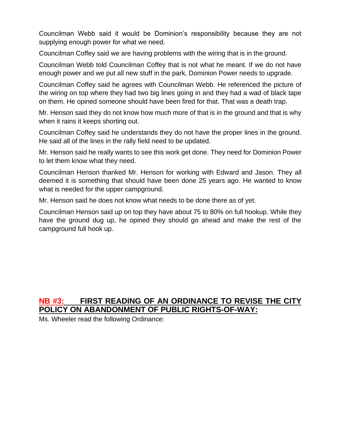Councilman Webb said it would be Dominion's responsibility because they are not supplying enough power for what we need.

Councilman Coffey said we are having problems with the wiring that is in the ground.

Councilman Webb told Councilman Coffey that is not what he meant. If we do not have enough power and we put all new stuff in the park, Dominion Power needs to upgrade.

Councilman Coffey said he agrees with Councilman Webb. He referenced the picture of the wiring on top where they had two big lines going in and they had a wad of black tape on them. He opined someone should have been fired for that. That was a death trap.

Mr. Henson said they do not know how much more of that is in the ground and that is why when it rains it keeps shorting out.

Councilman Coffey said he understands they do not have the proper lines in the ground. He said all of the lines in the rally field need to be updated.

Mr. Henson said he really wants to see this work get done. They need for Dominion Power to let them know what they need.

Councilman Henson thanked Mr. Henson for working with Edward and Jason. They all deemed it is something that should have been done 25 years ago. He wanted to know what is needed for the upper campground.

Mr. Henson said he does not know what needs to be done there as of yet.

Councilman Henson said up on top they have about 75 to 80% on full hookup. While they have the ground dug up, he opined they should go ahead and make the rest of the campground full hook up.

## **NB #3: FIRST READING OF AN ORDINANCE TO REVISE THE CITY POLICY ON ABANDONMENT OF PUBLIC RIGHTS-OF-WAY:**

Ms. Wheeler read the following Ordinance: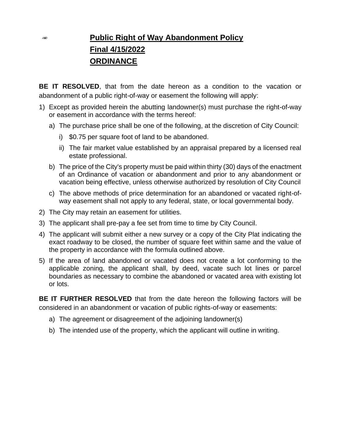# **Public Right of Way Abandonment Policy Final 4/15/2022 ORDINANCE**

**BE IT RESOLVED**, that from the date hereon as a condition to the vacation or abandonment of a public right-of-way or easement the following will apply:

- 1) Except as provided herein the abutting landowner(s) must purchase the right-of-way or easement in accordance with the terms hereof:
	- a) The purchase price shall be one of the following, at the discretion of City Council:
		- i) \$0.75 per square foot of land to be abandoned.
		- ii) The fair market value established by an appraisal prepared by a licensed real estate professional.
	- b) The price of the City's property must be paid within thirty (30) days of the enactment of an Ordinance of vacation or abandonment and prior to any abandonment or vacation being effective, unless otherwise authorized by resolution of City Council
	- c) The above methods of price determination for an abandoned or vacated right-ofway easement shall not apply to any federal, state, or local governmental body.
- 2) The City may retain an easement for utilities.
- 3) The applicant shall pre-pay a fee set from time to time by City Council.
- 4) The applicant will submit either a new survey or a copy of the City Plat indicating the exact roadway to be closed, the number of square feet within same and the value of the property in accordance with the formula outlined above.
- 5) If the area of land abandoned or vacated does not create a lot conforming to the applicable zoning, the applicant shall, by deed, vacate such lot lines or parcel boundaries as necessary to combine the abandoned or vacated area with existing lot or lots.

**BE IT FURTHER RESOLVED** that from the date hereon the following factors will be considered in an abandonment or vacation of public rights-of-way or easements:

- a) The agreement or disagreement of the adjoining landowner(s)
- b) The intended use of the property, which the applicant will outline in writing.

**SHOW**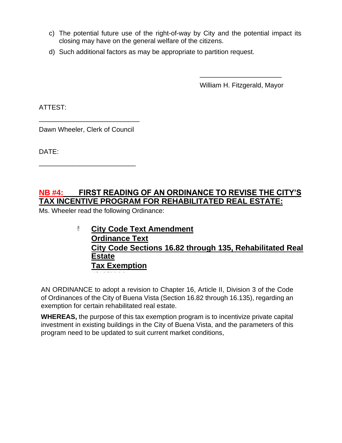- c) The potential future use of the right-of-way by City and the potential impact its closing may have on the general welfare of the citizens.
- d) Such additional factors as may be appropriate to partition request.

William H. Fitzgerald, Mayor

\_\_\_\_\_\_\_\_\_\_\_\_\_\_\_\_\_\_\_\_\_\_

ATTEST:

Dawn Wheeler, Clerk of Council

\_\_\_\_\_\_\_\_\_\_\_\_\_\_\_\_\_\_\_\_\_\_\_\_\_\_

\_\_\_\_\_\_\_\_\_\_\_\_\_\_\_\_\_\_\_\_\_\_\_\_\_\_\_

DATE:

## **NB #4: FIRST READING OF AN ORDINANCE TO REVISE THE CITY'S TAX INCENTIVE PROGRAM FOR REHABILITATED REAL ESTATE:**

Ms. Wheeler read the following Ordinance:

**4/18/2022**

#### 蓬 **City Code Text Amendment Ordinance Text City Code Sections 16.82 through 135, Rehabilitated Real Estate Tax Exemption**

AN ORDINANCE to adopt a revision to Chapter 16, Article II, Division 3 of the Code of Ordinances of the City of Buena Vista (Section 16.82 through 16.135), regarding an exemption for certain rehabilitated real estate.

**WHEREAS,** the purpose of this tax exemption program is to incentivize private capital investment in existing buildings in the City of Buena Vista, and the parameters of this program need to be updated to suit current market conditions,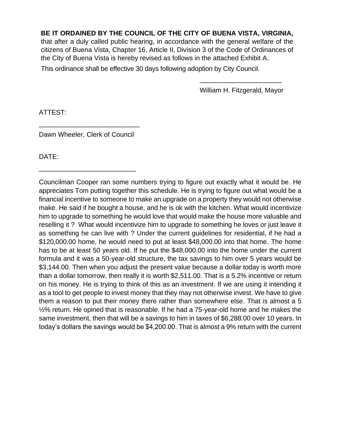#### **BE IT ORDAINED BY THE COUNCIL OF THE CITY OF BUENA VISTA, VIRGINIA,**

that after a duly called public hearing, in accordance with the general welfare of the citizens of Buena Vista, Chapter 16, Article II, Division 3 of the Code of Ordinances of the City of Buena Vista is hereby revised as follows in the attached Exhibit A.

This ordinance shall be effective 30 days following adoption by City Council.

William H. Fitzgerald, Mayor

\_\_\_\_\_\_\_\_\_\_\_\_\_\_\_\_\_\_\_\_\_\_

ATTEST:

Dawn Wheeler, Clerk of Council

\_\_\_\_\_\_\_\_\_\_\_\_\_\_\_\_\_\_\_\_\_\_\_\_\_\_

\_\_\_\_\_\_\_\_\_\_\_\_\_\_\_\_\_\_\_\_\_\_\_\_\_\_\_

DATE:

Councilman Cooper ran some numbers trying to figure out exactly what it would be. He appreciates Tom putting together this schedule. He is trying to figure out what would be a financial incentive to someone to make an upgrade on a property they would not otherwise make. He said if he bought a house, and he is ok with the kitchen. What would incentivize him to upgrade to something he would love that would make the house more valuable and reselling it ? What would incentivize him to upgrade to something he loves or just leave it as something he can live with ? Under the current guidelines for residential, if he had a \$120,000.00 home, he would need to put at least \$48,000.00 into that home. The home has to be at least 50 years old. If he put the \$48,000.00 into the home under the current formula and it was a 50-year-old structure, the tax savings to him over 5 years would be \$3,144.00. Then when you adjust the present value because a dollar today is worth more than a dollar tomorrow, then really it is worth \$2,511.00. That is a 5.2% incentive or return on his money. He is trying to think of this as an investment. If we are using it intending it as a tool to get people to invest money that they may not otherwise invest. We have to give them a reason to put their money there rather than somewhere else. That is almost a 5 ½% return. He opined that is reasonable. If he had a 75-year-old home and he makes the same investment, then that will be a savings to him in taxes of \$6,288.00 over 10 years. In today's dollars the savings would be \$4,200.00. That is almost a 9% return with the current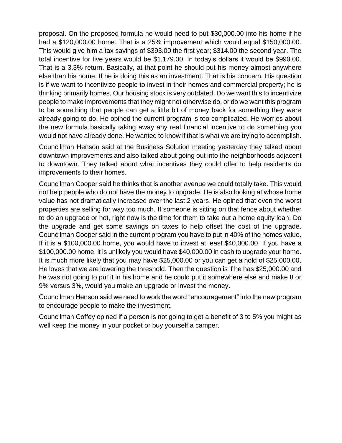proposal. On the proposed formula he would need to put \$30,000.00 into his home if he had a \$120,000.00 home. That is a 25% improvement which would equal \$150,000.00. This would give him a tax savings of \$393.00 the first year; \$314.00 the second year. The total incentive for five years would be \$1,179.00. In today's dollars it would be \$990.00. That is a 3.3% return. Basically, at that point he should put his money almost anywhere else than his home. If he is doing this as an investment. That is his concern. His question is if we want to incentivize people to invest in their homes and commercial property; he is thinking primarily homes. Our housing stock is very outdated. Do we want this to incentivize people to make improvements that they might not otherwise do, or do we want this program to be something that people can get a little bit of money back for something they were already going to do. He opined the current program is too complicated. He worries about the new formula basically taking away any real financial incentive to do something you would not have already done. He wanted to know if that is what we are trying to accomplish.

Councilman Henson said at the Business Solution meeting yesterday they talked about downtown improvements and also talked about going out into the neighborhoods adjacent to downtown. They talked about what incentives they could offer to help residents do improvements to their homes.

Councilman Cooper said he thinks that is another avenue we could totally take. This would not help people who do not have the money to upgrade. He is also looking at whose home value has not dramatically increased over the last 2 years. He opined that even the worst properties are selling for way too much. If someone is sitting on that fence about whether to do an upgrade or not, right now is the time for them to take out a home equity loan. Do the upgrade and get some savings on taxes to help offset the cost of the upgrade. Councilman Cooper said in the current program you have to put in 40% of the homes value. If it is a \$100,000.00 home, you would have to invest at least \$40,000.00. If you have a \$100,000.00 home, it is unlikely you would have \$40,000.00 in cash to upgrade your home. It is much more likely that you may have \$25,000.00 or you can get a hold of \$25,000.00. He loves that we are lowering the threshold. Then the question is if he has \$25,000.00 and he was not going to put it in his home and he could put it somewhere else and make 8 or 9% versus 3%, would you make an upgrade or invest the money.

Councilman Henson said we need to work the word "encouragement" into the new program to encourage people to make the investment.

Councilman Coffey opined if a person is not going to get a benefit of 3 to 5% you might as well keep the money in your pocket or buy yourself a camper.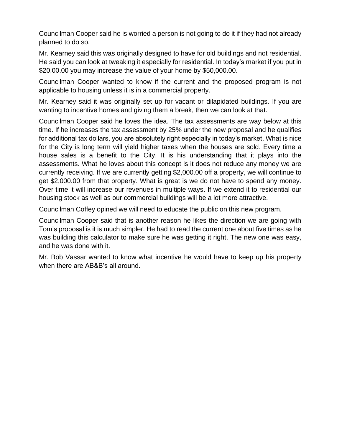Councilman Cooper said he is worried a person is not going to do it if they had not already planned to do so.

Mr. Kearney said this was originally designed to have for old buildings and not residential. He said you can look at tweaking it especially for residential. In today's market if you put in \$20,00.00 you may increase the value of your home by \$50,000.00.

Councilman Cooper wanted to know if the current and the proposed program is not applicable to housing unless it is in a commercial property.

Mr. Kearney said it was originally set up for vacant or dilapidated buildings. If you are wanting to incentive homes and giving them a break, then we can look at that.

Councilman Cooper said he loves the idea. The tax assessments are way below at this time. If he increases the tax assessment by 25% under the new proposal and he qualifies for additional tax dollars, you are absolutely right especially in today's market. What is nice for the City is long term will yield higher taxes when the houses are sold. Every time a house sales is a benefit to the City. It is his understanding that it plays into the assessments. What he loves about this concept is it does not reduce any money we are currently receiving. If we are currently getting \$2,000.00 off a property, we will continue to get \$2,000.00 from that property. What is great is we do not have to spend any money. Over time it will increase our revenues in multiple ways. If we extend it to residential our housing stock as well as our commercial buildings will be a lot more attractive.

Councilman Coffey opined we will need to educate the public on this new program.

Councilman Cooper said that is another reason he likes the direction we are going with Tom's proposal is it is much simpler. He had to read the current one about five times as he was building this calculator to make sure he was getting it right. The new one was easy, and he was done with it.

Mr. Bob Vassar wanted to know what incentive he would have to keep up his property when there are AB&B's all around.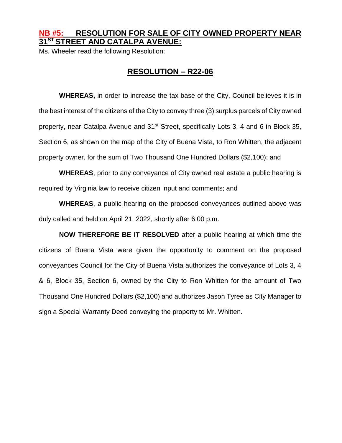### **NB #5: RESOLUTION FOR SALE OF CITY OWNED PROPERTY NEAR 31ST STREET AND CATALPA AVENUE:**

Ms. Wheeler read the following Resolution:

#### **RESOLUTION – R22-06**

**WHEREAS,** in order to increase the tax base of the City, Council believes it is in the best interest of the citizens of the City to convey three (3) surplus parcels of City owned property, near Catalpa Avenue and 31<sup>st</sup> Street, specifically Lots 3, 4 and 6 in Block 35, Section 6, as shown on the map of the City of Buena Vista, to Ron Whitten, the adjacent property owner, for the sum of Two Thousand One Hundred Dollars (\$2,100); and

**WHEREAS**, prior to any conveyance of City owned real estate a public hearing is required by Virginia law to receive citizen input and comments; and

**WHEREAS**, a public hearing on the proposed conveyances outlined above was duly called and held on April 21, 2022, shortly after 6:00 p.m.

**NOW THEREFORE BE IT RESOLVED** after a public hearing at which time the citizens of Buena Vista were given the opportunity to comment on the proposed conveyances Council for the City of Buena Vista authorizes the conveyance of Lots 3, 4 & 6, Block 35, Section 6, owned by the City to Ron Whitten for the amount of Two Thousand One Hundred Dollars (\$2,100) and authorizes Jason Tyree as City Manager to sign a Special Warranty Deed conveying the property to Mr. Whitten.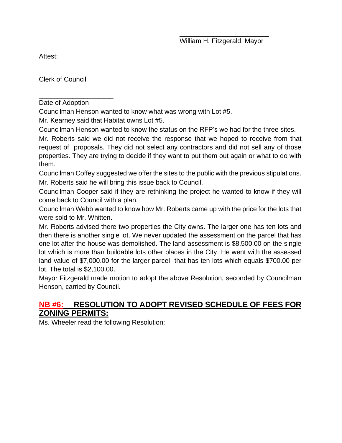Attest:

\_\_\_\_\_\_\_\_\_\_\_\_\_\_\_\_\_\_\_\_ Clerk of Council

\_\_\_\_\_\_\_\_\_\_\_\_\_\_\_\_\_\_\_\_ Date of Adoption

Councilman Henson wanted to know what was wrong with Lot #5.

Mr. Kearney said that Habitat owns Lot #5.

Councilman Henson wanted to know the status on the RFP's we had for the three sites.

Mr. Roberts said we did not receive the response that we hoped to receive from that request of proposals. They did not select any contractors and did not sell any of those properties. They are trying to decide if they want to put them out again or what to do with them.

Councilman Coffey suggested we offer the sites to the public with the previous stipulations. Mr. Roberts said he will bring this issue back to Council.

Councilman Cooper said if they are rethinking the project he wanted to know if they will come back to Council with a plan.

Councilman Webb wanted to know how Mr. Roberts came up with the price for the lots that were sold to Mr. Whitten.

Mr. Roberts advised there two properties the City owns. The larger one has ten lots and then there is another single lot. We never updated the assessment on the parcel that has one lot after the house was demolished. The land assessment is \$8,500.00 on the single lot which is more than buildable lots other places in the City. He went with the assessed land value of \$7,000.00 for the larger parcel that has ten lots which equals \$700.00 per lot. The total is \$2,100.00.

Mayor Fitzgerald made motion to adopt the above Resolution, seconded by Councilman Henson, carried by Council.

## **NB #6: RESOLUTION TO ADOPT REVISED SCHEDULE OF FEES FOR ZONING PERMITS:**

Ms. Wheeler read the following Resolution: